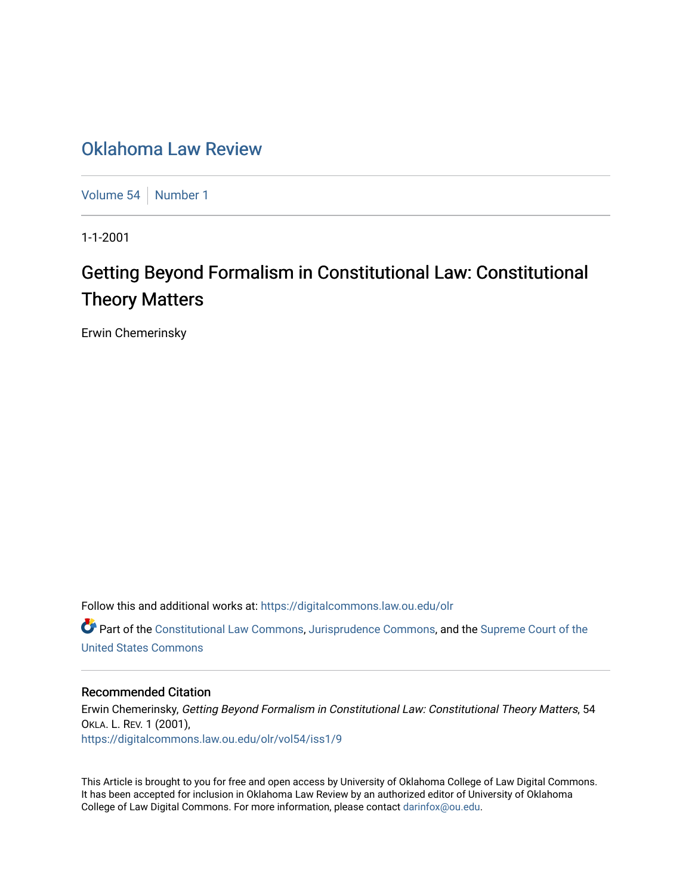## [Oklahoma Law Review](https://digitalcommons.law.ou.edu/olr)

[Volume 54](https://digitalcommons.law.ou.edu/olr/vol54) [Number 1](https://digitalcommons.law.ou.edu/olr/vol54/iss1)

1-1-2001

## Getting Beyond Formalism in Constitutional Law: Constitutional Theory Matters

Erwin Chemerinsky

Follow this and additional works at: [https://digitalcommons.law.ou.edu/olr](https://digitalcommons.law.ou.edu/olr?utm_source=digitalcommons.law.ou.edu%2Folr%2Fvol54%2Fiss1%2F9&utm_medium=PDF&utm_campaign=PDFCoverPages)

**C** Part of the [Constitutional Law Commons,](http://network.bepress.com/hgg/discipline/589?utm_source=digitalcommons.law.ou.edu%2Folr%2Fvol54%2Fiss1%2F9&utm_medium=PDF&utm_campaign=PDFCoverPages) [Jurisprudence Commons](http://network.bepress.com/hgg/discipline/610?utm_source=digitalcommons.law.ou.edu%2Folr%2Fvol54%2Fiss1%2F9&utm_medium=PDF&utm_campaign=PDFCoverPages), and the [Supreme Court of the](http://network.bepress.com/hgg/discipline/1350?utm_source=digitalcommons.law.ou.edu%2Folr%2Fvol54%2Fiss1%2F9&utm_medium=PDF&utm_campaign=PDFCoverPages) [United States Commons](http://network.bepress.com/hgg/discipline/1350?utm_source=digitalcommons.law.ou.edu%2Folr%2Fvol54%2Fiss1%2F9&utm_medium=PDF&utm_campaign=PDFCoverPages) 

#### Recommended Citation

Erwin Chemerinsky, Getting Beyond Formalism in Constitutional Law: Constitutional Theory Matters, 54 OKLA. L. REV. 1 (2001), [https://digitalcommons.law.ou.edu/olr/vol54/iss1/9](https://digitalcommons.law.ou.edu/olr/vol54/iss1/9?utm_source=digitalcommons.law.ou.edu%2Folr%2Fvol54%2Fiss1%2F9&utm_medium=PDF&utm_campaign=PDFCoverPages) 

This Article is brought to you for free and open access by University of Oklahoma College of Law Digital Commons. It has been accepted for inclusion in Oklahoma Law Review by an authorized editor of University of Oklahoma College of Law Digital Commons. For more information, please contact [darinfox@ou.edu.](mailto:darinfox@ou.edu)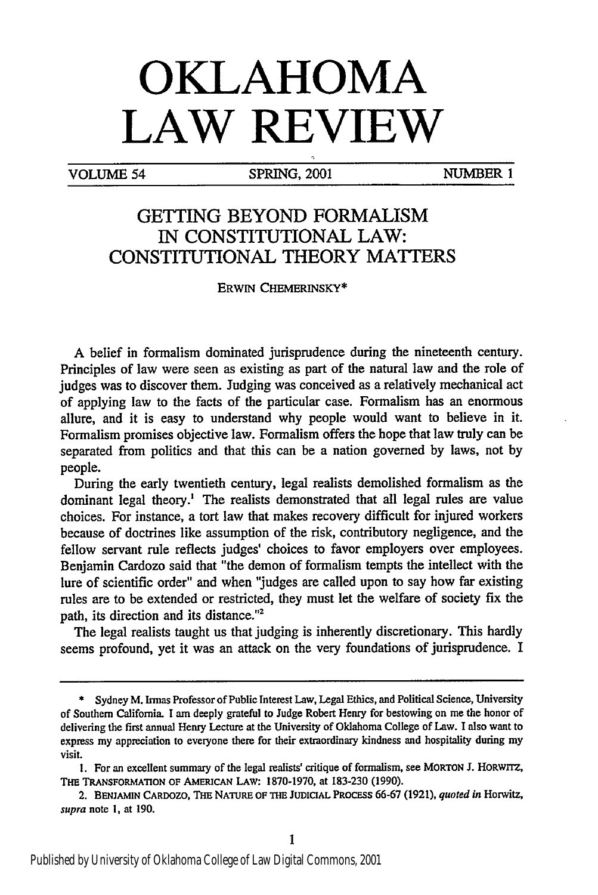# **OKLAHOMA LAW REVIEW**

VOLUME 54 SPRING, 2001 NUMBER **I**

### **GETTING** BEYOND FORMALISM IN **CONSTITUTIONAL** LAW: **CONSTITUTIONAL** THEORY **MATTERS**

ERWIN **CHEMERINSKY\***

A belief in formalism dominated jurisprudence during the nineteenth century. Principles of law were seen as existing as part of the natural law and the role of judges was to discover them. Judging was conceived as a relatively mechanical act of applying law to the facts of the particular case. Formalism has an enormous allure, and it is easy to understand why people would want to believe in it. Formalism promises objective law. Formalism offers the hope that law truly can be separated from politics and that this can be a nation governed by laws, not by people.

During the early twentieth century, legal realists demolished formalism as the dominant legal theory.' The realists demonstrated that all legal rules are value choices. For instance, a tort law that makes recovery difficult for injured workers because of doctrines like assumption of the risk, contributory negligence, and the fellow servant rule reflects judges' choices to favor employers over employees. Benjamin Cardozo said that "the demon of formalism tempts the intellect with the lure of scientific order" and when 'judges are called upon to say how far existing rules are to be extended or restricted, they must let the welfare of society fix the path, its direction and its distance."2

The legal realists taught us that judging is inherently discretionary. This hardly seems profound, yet it was an attack on the very foundations of jurisprudence. I

<sup>\*</sup> Sydney M. Irmas Professor of Public Interest Law, Legal Ethics, and Political Science, University of Southern California. I am deeply grateful to Judge Robert Henry for bestowing on me the honor of delivering the first annual Henry Lecture at the University of Oklahoma College of Law. I also want to express my appreciation to everyone there for their extraordinary kindness and hospitality during my visit.

I. For an excellent summary of the legal realists' critique of formalism, see **MORTON J.** HoRwrrz, THE TRANSFORMATION OF **AMERICAN LAW:** 1870-1970, at 183-230 (1990).

<sup>2.</sup> **BENJAMIN CARDOZO, THE NATURE OF THE JUDICIAL PROCESS** 66-67 (1921), *quoted in* Horwitz, supra note I, at 190.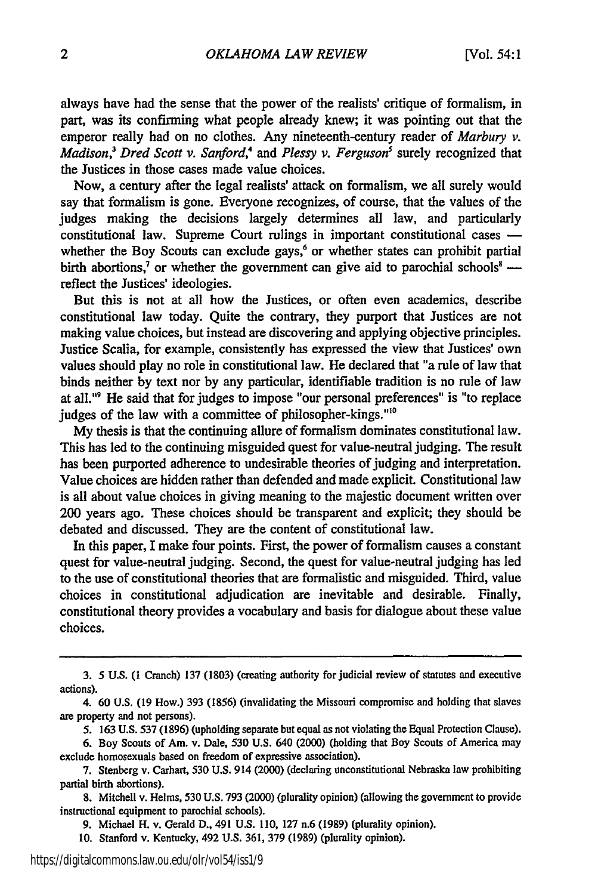always have had the sense that the power of the realists' critique of formalism, in part, was its confirming what people already knew; it was pointing out that the emperor really had on no clothes. Any nineteenth-century reader of *Marbury v. Madison*,<sup>3</sup> Dred Scott v. Sanford,<sup>4</sup> and Plessy v. Ferguson<sup>5</sup> surely recognized that the Justices in those cases made value choices.

Now, a century after the legal realists' attack on formalism, we all surely would say that formalism is gone. Everyone recognizes, of course, that the values of the judges making the decisions largely determines all law, and particularly constitutional law. Supreme Court rulings in important constitutional cases  whether the Boy Scouts can exclude gays,<sup>6</sup> or whether states can prohibit partial birth abortions,<sup>7</sup> or whether the government can give aid to parochial schools<sup>8</sup> reflect the Justices' ideologies.

But this is not at all how the Justices, or often even academics, describe constitutional law today. Quite the contrary, they purport that Justices are not making value choices, but instead are discovering and applying objective principles. Justice Scalia, for example, consistently has expressed the view that Justices' own values should play no role in constitutional law. He declared that "a rule of law that binds neither by text nor by any particular, identifiable tradition is no rule of law at all."9 He said that for judges to impose "our personal preferences" is "to replace judges of the law with a committee of philosopher-kings."<sup>10</sup>

My thesis is that the continuing allure of formalism dominates constitutional law. This has led to the continuing misguided quest for value-neutral judging. The result has been purported adherence to undesirable theories of judging and interpretation. Value choices are hidden rather than defended and made explicit. Constitutional law is all about value choices in giving meaning to the majestic document written over 200 years ago. These choices should be transparent and explicit; they should be debated and discussed. They are the content of constitutional law.

In this paper, I make four points. First, the power of formalism causes a constant quest for value-neutral judging. Second, the quest for value-neutral judging has led to the use of constitutional theories that are formalistic and misguided. Third, value choices in constitutional adjudication are inevitable and desirable. Finally, constitutional theory provides a vocabulary and basis for dialogue about these value choices.

**<sup>3.</sup>** 5 **U.S.** (1 **Cranch) 137 (1803)** (creating authority forjudicial review of statutes and executive actions).

<sup>4. 60</sup> **U.S.** (19 How.) 393 (1856) (invalidating the Missouri compromise and holding that slaves are property and not persons).

<sup>5. 163</sup> **U.S.** 537 (1896) (upholding separate but equal as not violating the Equal Protection Clause).

<sup>6.</sup> Boy Scouts of Am. v. Dale, 530 **U.S.** 640 (2000) (holding that Boy Scouts of America may exclude homosexuals based on freedom of expressive association).

<sup>7.</sup> Stenberg v. Carhart, **530 U.S.** 914 (2000) (declaring unconstitutional Nebraska law prohibiting partial birth abortions).

<sup>8.</sup> Mitchell v. Helms, 530 **U.S.** 793 (2000) (plurality opinion) (allowing the government to provide instructional equipment to parochial schools).

<sup>9.</sup> Michael H. v. Gerald D., 491 U.S. 110, 127 n.6 (1989) (plurality opinion).

**<sup>10.</sup>** Stanford v. Kentucky, 492 **U.S.** 361, 379 (1989) (plurality opinion).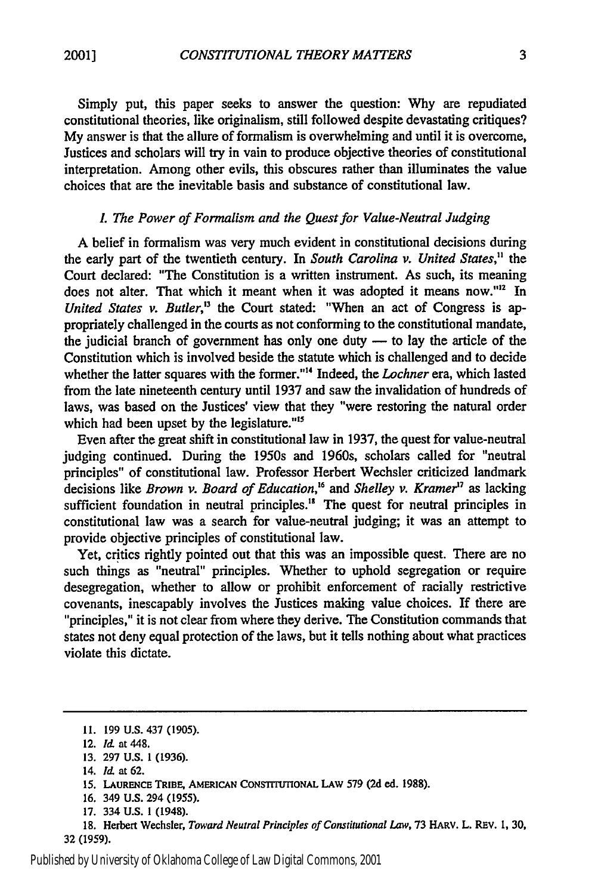Simply put, this paper seeks to answer the question: **Why** are repudiated constitutional theories, like originalism, still followed despite devastating critiques? My answer is that the allure of formalism is overwhelming and until it is overcome, Justices and scholars will try in vain to produce objective theories of constitutional interpretation. Among other evils, this obscures rather than illuminates the value choices that are the inevitable basis and substance of constitutional law.

#### L *The Power of Formalism and the Quest for Value-Neutral Judging*

A belief in formalism was very much evident in constitutional decisions during the early part of the twentieth century. In *South Carolina v. United States,"* the Court declared: "The Constitution is a written instrument. As such, its meaning does not alter. That which it meant when it was adopted it means now."<sup>12</sup> In *United States v. Butler,"* the Court stated: "When an act of Congress is appropriately challenged in the courts as not conforming to the constitutional mandate, the judicial branch of government has only one duty  $-$  to lay the article of the Constitution which is involved beside the statute which is challenged and to decide whether the latter squares with the former."'4 Indeed, the *Lochner* era, which lasted from the late nineteenth century until 1937 and saw the invalidation of hundreds of laws, was based on the Justices' view that they "were restoring the natural order which had been upset by the legislature."<sup>15</sup>

Even after the great shift in constitutional law in 1937, the quest for value-neutral judging continued. During the 1950s and 1960s, scholars called for "neutral principles" of constitutional law. Professor Herbert Wechsler criticized landmark decisions like *Brown v. Board of Education*,<sup>16</sup> and *Shelley v. Kramer*<sup>17</sup> as lacking sufficient foundation in neutral principles." The quest for neutral principles in constitutional law was a search for value-neutral judging; it was an attempt to provide objective principles of constitutional law.

Yet, critics rightly pointed out that this was an impossible quest. There are no such things as "neutral" principles. Whether to uphold segregation or require desegregation, whether to allow or prohibit enforcement of racially restrictive covenants, inescapably involves the Justices making value choices. If there are "principles," it is not clear from where they derive. The Constitution commands that states not deny equal protection of the laws, but it tells nothing about what practices violate this dictate.

17. 334 **U.S.** 1 (1948).

18. Herbert Wechsler, *Toward Neutral Principles of Constitutional Law,* 73 HARv. L. REv. **1, 30,** 32 (1959).

**<sup>11.</sup>** 199 U.S. 437 (1905).

<sup>12.</sup> **ld.** at 448.

<sup>13.</sup> 297 U.S. 1 (1936).

<sup>14.</sup> **ld.** at 62.

*<sup>15.</sup>* **LAURENCE TRIBE, AMERICAN** CONSTITUTIONAL LAw 579 **(2d** ed. **1988).**

<sup>16. 349</sup> **U.S.** 294 (1955).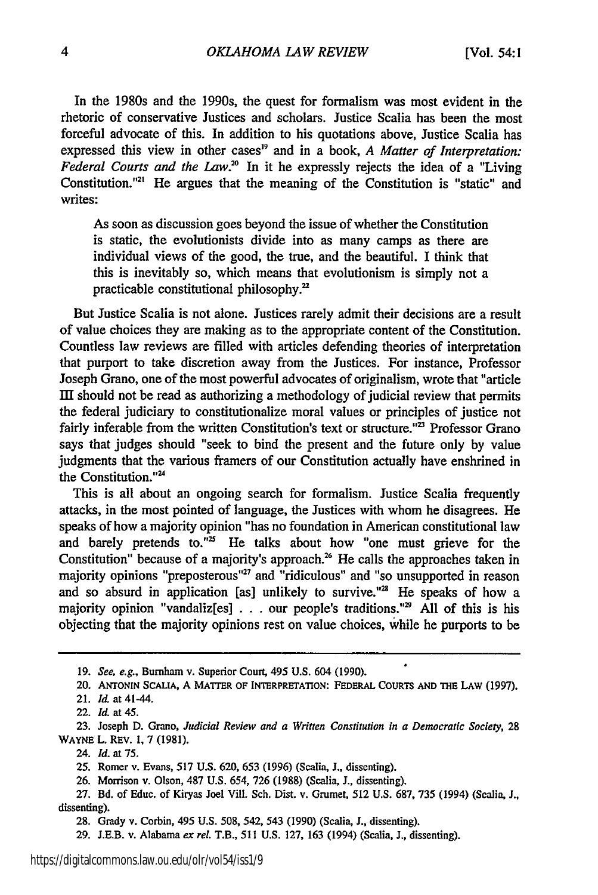In the 1980s and the 1990s, the quest for formalism was most evident in the rhetoric of conservative Justices and scholars. Justice Scalia has been the most forceful advocate of this. In addition to his quotations above, Justice Scalia has expressed this view in other cases<sup>19</sup> and in a book, *A Matter of Interpretation*: Federal Courts and the Law.<sup>20</sup> In it he expressly rejects the idea of a "Living" Constitution."'" He argues that the meaning of the Constitution is "static" and writes:

As soon as discussion goes beyond the issue of whether the Constitution is static, the evolutionists divide into as many camps as there are individual views of the good, the true, and the beautiful. I think that this is inevitably so, which means that evolutionism is simply not a practicable constitutional philosophy.'

But Justice Scalia is not alone. Justices rarely admit their decisions are a result of value choices they are making as to the appropriate content of the Constitution. Countless law reviews are filled with articles defending theories of interpretation that purport to take discretion away from the Justices. For instance, Professor Joseph Grano, one of the most powerful advocates of originalism, wrote that "article II should not be read as authorizing a methodology of judicial review that permits the federal judiciary to constitutionalize moral values or principles of justice not fairly inferable from the written Constitution's text or structure."<sup>23</sup> Professor Grano says that judges should "seek to bind the present and the future only by value judgments that the various framers of our Constitution actually have enshrined in the Constitution."<sup>24</sup>

This is all about an ongoing search for formalism. Justice Scalia frequently attacks, in the most pointed of language, the Justices with whom he disagrees. He speaks of how a majority opinion "has no foundation in American constitutional law and barely pretends to."<sup>25</sup> He talks about how "one must grieve for the Constitution" because of a majority's approach.<sup>26</sup> He calls the approaches taken in majority opinions "preposterous"<sup>27</sup> and "ridiculous" and "so unsupported in reason and so absurd in application [as] unlikely to survive."<sup>28</sup> He speaks of how a majority opinion "vandaliz[es] . . . our people's traditions."<sup>29</sup> All of this is his objecting that the majority opinions rest on value choices, while he purports to be

24. *Id.* at **75.**

**<sup>19.</sup>** *See, e.g.,* Burnham v. Superior Court, 495 U.S. 604 (1990).

<sup>20.</sup> **ANTONIN SCALIA, A** MATTER OF **INTERPRETATION:** FEDERAL **COURTS AND THE** LAW **(1997).**

<sup>21.</sup> *Id.* at 41-44.

<sup>22.</sup> *Id.* at 45.

**<sup>23.</sup>** Joseph **D.** Grano, *Judicial Review and a Written Constitution in a Democratic Society,* **28 WAYNE** L. REV. **1,** 7 **(1981).**

**<sup>25.</sup>** Romer v. Evans, **517 U.S. 620, 653 (1996)** (Scalia, **J.,** dissenting).

**<sup>26.</sup>** Morrison v. Olson, 487 **U.S.** 654, **726 (1988)** (Scalia, **J.,** dissenting).

**<sup>27.</sup> Bd.** of Educ. of Kiryas Joel **Vill.** Sch. Dist. v. Grumet, **512 U.S. 687, 735** (1994) (Scalia, **J.,** dissenting).

**<sup>28.</sup>** Grady v. Corbin, 495 **U.S. 508,** 542, 543 **(1990)** (Scalia, **J.,** dissenting).

**<sup>29.</sup> J.E.B.** v. Alabama *ex rel.* T.B., **511 U.S.** 127, 163 (1994) (Scalia, J., dissenting).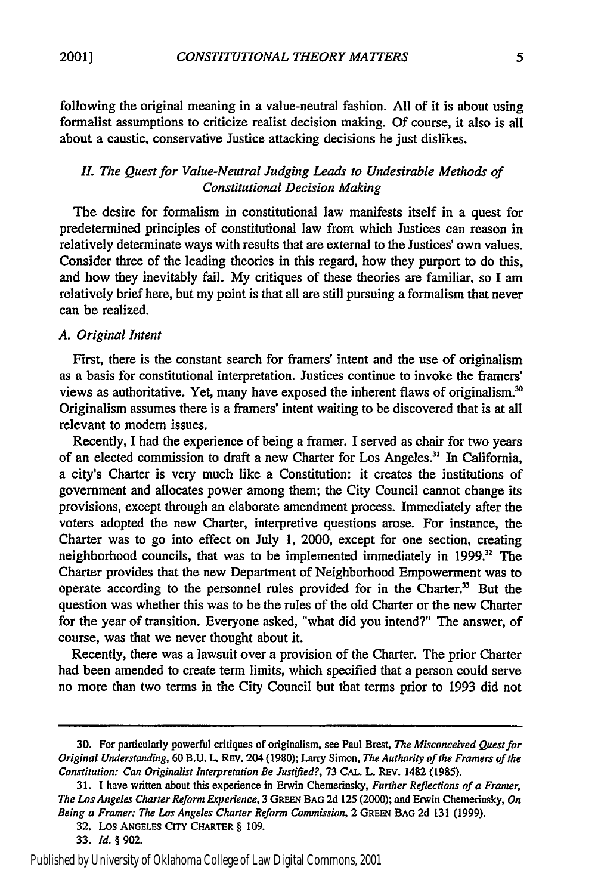following the original meaning in a value-neutral fashion. All of it is about using formalist assumptions to criticize realist decision making. Of course, it also is all about a caustic, conservative Justice attacking decisions he just dislikes.

#### *II. The* Quest *for Value-Neutral Judging Leads to Undesirable Methods of Constitutional Decision Making*

The desire for formalism in constitutional law manifests itself in a quest for predetermined principles of constitutional law from which Justices can reason in relatively determinate ways with results that are external to the Justices' own values. Consider three of the leading theories in this regard, how they purport to do this, and how they inevitably fail. My critiques of these theories are familiar, so I am relatively brief here, but my point is that all are still pursuing a formalism that never can be realized.

#### *A. Original Intent*

First, there is the constant search for framers' intent and the use of originalism as a basis for constitutional interpretation. Justices continue to invoke the framers' views as authoritative. Yet, many have exposed the inherent flaws of originalism.' Originalism assumes there is a framers' intent waiting to be discovered that is at all relevant to modem issues.

Recently, I had the experience of being a framer. I served as chair for two years of an elected commission to draft a new Charter for Los Angeles." In California, a city's Charter is very much like a Constitution: it creates the institutions of government and allocates power among them; the City Council cannot change its provisions, except through an elaborate amendment process. Immediately after the voters adopted the new Charter, interpretive questions arose. For instance, the Charter was to go into effect on July 1, 2000, except for one section, creating neighborhood councils, that was to be implemented immediately in 1999.<sup>32</sup> The Charter provides that the new Department of Neighborhood Empowerment was to operate according to the personnel rules provided for in the Charter.<sup>33</sup> But the question was whether this was to be the rules of the old Charter or the new Charter for the year of transition. Everyone asked, "what did you intend?" The answer, of course, was that we never thought about it.

Recently, there was a lawsuit over a provision of the Charter. The prior Charter had been amended to create term limits, which specified that a person could serve no more than two terms in the City Council but that terms prior to 1993 did not

**<sup>30.</sup>** For particularly powerful critiques of originalism, see Paul Brest, *The Misconceived Quest for Original Understanding,* 60 B.U. L. REV. 204 (1980); Larry Simon, *The Authority of the Framers of the Constitution:* Can Originalist *Interpretation Be* Justified?, **73 CAL.** L. REv. 1482 (1985).

<sup>31.</sup> I have written about this experience in Erwin Chemerinsky, *Further Reflections of a Framer, The Los Angeles Charter Reform Experience,* 3 GREEN **BAG** 2d 125 (2000); and Erwin Chemerinsky, *On Being a Framer: The Los Angeles Charter Reform Commission,* 2 **GREEN BAG 2d** 131 (1999).

**<sup>32.</sup>** Los ANGELES CrrY **CHARTER** § 109.

<sup>33.</sup> *Id.* § 902.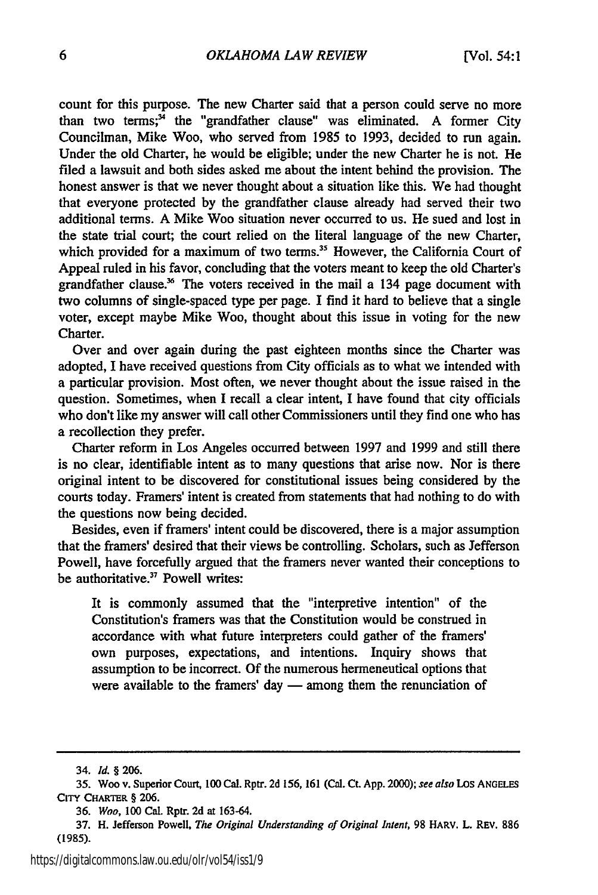count for this purpose. The new Charter said that a person could serve no more than two terms; $^3$  the "grandfather clause" was eliminated. A former City Councilman, Mike Woo, who served from 1985 to 1993, decided to run again. Under the old Charter, he would be eligible; under the new Charter he is not. He filed a lawsuit and both sides asked me about the intent behind the provision. The honest answer is that we never thought about a situation like this. We had thought that everyone protected by the grandfather clause already had served their two additional terms. A Mike Woo situation never occurred to us. He sued and lost in the state trial court; the court relied on the literal language of the new Charter, which provided for a maximum of two terms.<sup>35</sup> However, the California Court of Appeal ruled in his favor, concluding that the voters meant to keep the old Charter's grandfather clause.<sup>36</sup> The voters received in the mail a 134 page document with two columns of single-spaced type per page. I find it hard to believe that a single voter, except maybe Mike Woo, thought about this issue in voting for the new Charter.

Over and over again during the past eighteen months since the Charter was adopted, I have received questions from City officials as to what we intended with a particular provision. Most often, we never thought about the issue raised in the question. Sometimes, when I recall a clear intent, I have found that city officials who don't like my answer will call other Commissioners until they find one who has a recollection they prefer.

Charter reform in Los Angeles occurred between 1997 and 1999 and still there is no clear, identifiable intent as to many questions that arise now. Nor is there original intent to be discovered for constitutional issues being considered by the courts today. Framers' intent is created from statements that had nothing to do with the questions now being decided.

Besides, even if framers' intent could be discovered, there is a major assumption that the framers' desired that their views be controlling. Scholars, such as Jefferson Powell, have forcefully argued that the framers never wanted their conceptions to be authoritative.<sup>37</sup> Powell writes:

It is commonly assumed that the "interpretive intention" of the Constitution's framers was that the Constitution would be construed in accordance with what future interpreters could gather of the framers' own purposes, expectations, and intentions. Inquiry shows that assumption to be incorrect. Of the numerous hermeneutical options that were available to the framers' day  $-$  among them the renunciation of

<sup>34.</sup> *Id.* § **206.**

**<sup>35.</sup>** Woo v. Superior Court, 100 Cal. Rptr. **2d 156, 161** (Cal. **Ct. App.** 2000); see also Los **ANGELES** CITY CHARTER § **206.**

**<sup>36.</sup>** *Woo,* **100 Cal. Rptr. 2d at 163-64.**

<sup>37.</sup> H. Jefferson Powell, *The Original Understanding of Original Intent,* **98** HARV. L. REV. **886** (1985).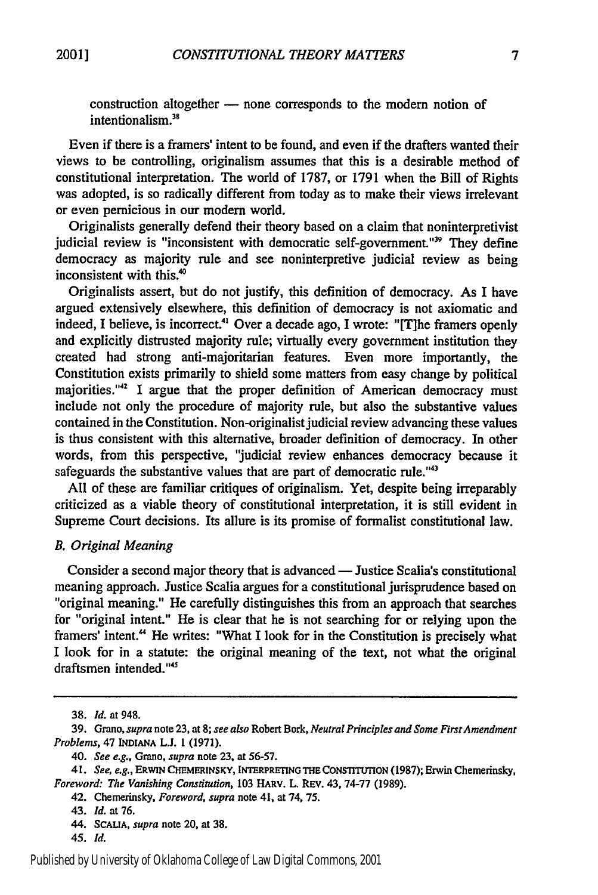construction altogether - none corresponds to the modern notion of  $interfionalism<sup>38</sup>$ 

Even if there is a framers' intent to be found, and even if the drafters wanted their views to be controlling, originalism assumes that this is a desirable method of constitutional interpretation. The world of **1787,** or **1791** when the Bill of Rights was adopted, is so radically different from today as to make their views irrelevant or even pernicious in our modem world.

Originalists generally defend their theory based on a claim that noninterpretivist judicial review is "inconsistent with democratic self-government."<sup>39</sup> They define democracy as majority rule and see noninterpretive judicial review as being inconsistent with this.<sup>40</sup>

Originalists assert, but do not justify, this definition of democracy. As **I** have argued extensively elsewhere, this definition of democracy is not axiomatic and indeed, I believe, is incorrect.<sup>41</sup> Over a decade ago, I wrote: "[T]he framers openly and explicitly distrusted majority rule; virtually every government institution they created had strong anti-majoritarian features. Even more importantly, the Constitution exists primarily to shield some matters from easy change **by** political majorities."<sup>42</sup> I argue that the proper definition of American democracy must include not only the procedure of majority rule, but also the substantive values contained in the Constitution. Non-originalist judicial review advancing these values is thus consistent with this alternative, broader definition of democracy. In other words, from this perspective, "judicial review enhances democracy because it safeguards the substantive values that are part of democratic rule."<sup>43</sup>

**All** of these are familiar critiques of originalism. Yet, despite being irreparably criticized as a viable theory of constitutional interpretation, it is still evident in Supreme Court decisions. Its allure is its promise of formalist constitutional law.

#### *B. Original Meaning*

Consider a second major theory that is advanced — Justice Scalia's constitutional meaning approach. Justice Scalia argues for a constitutional jurisprudence based on "original meaning." He carefully distinguishes this from an approach that searches for "original intent." He is clear that he is not searching for or relying upon the framers' intent." He writes: "What **I** look for in the Constitution is precisely what I look for in a statute: the original meaning of the text, not what the original draftsmen intended."<sup>45</sup>

**<sup>38.</sup>** *Id.* at 948.

**<sup>39.</sup>** Grano, *supra* note **23,** at *8; see also* Robert Bork, *Neutral Principles and Some FirstAmendment Problems,* 47 **INDIANA L.J. 1 (1971).**

**<sup>40.</sup>** *See e.g.,* **Grano,** *supra* note **23, at 56-57.**

**<sup>41.</sup>** *See, e.g.,* **ERWIN CHEMERINSKY, INTERPRETING THE** *CONSTmTTION* **(1987);** Erwin Chemerinsky, *Foreword: The Vanishing Constitution,* **103 HARv. L. REV. 43, 74-77 (1989).**

**<sup>42.</sup> Chemerinsky,** *Foreword, supra* **note 41, at 74, 75.**

<sup>43.</sup> *Id.* **at 76.**

<sup>44.</sup> **SCAUA,** *supra* note 20, at **38.**

*<sup>45.</sup> Id.*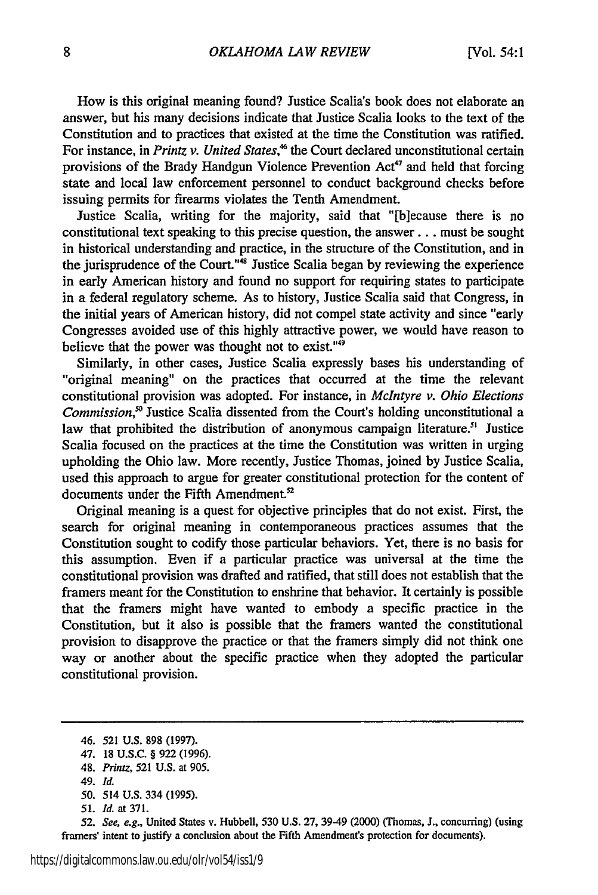How is this original meaning found? Justice Scalia's book does not elaborate an answer, but his many decisions indicate that Justice Scalia looks to the text of the Constitution and to practices that existed at the time the Constitution was ratified. For instance, in *Printz v. United States*,<sup>46</sup> the Court declared unconstitutional certain provisions of the Brady Handgun Violence Prevention Act'7 and held that forcing state and local law enforcement personnel to conduct background checks before issuing permits for firearms violates the Tenth Amendment.

Justice Scalia, writing for the majority, said that "[b]ecause there is no constitutional text speaking to this precise question, the answer.., must be sought in historical understanding and practice, in the structure of the Constitution, and in the jurisprudence of the Court."<sup>48</sup> Justice Scalia began by reviewing the experience in early American history and found no support for requiring states to participate in a federal regulatory scheme. As to history, Justice Scalia said that Congress, in the initial years of American history, did not compel state activity and since "early Congresses avoided use of this highly attractive power, we would have reason to believe that the power was thought not to exist."<sup>49</sup>

Similarly, in other cases, Justice Scalia expressly bases his understanding of "original meaning" on the practices that occurred at the time the relevant constitutional provision was adopted. For instance, in *McIntyre v. Ohio Elections Commission,"* Justice Scalia dissented from the Court's holding unconstitutional a law that prohibited the distribution of anonymous campaign literature.<sup>51</sup> Justice Scalia focused on the practices at the time the Constitution was written in urging upholding the Ohio law. More recently, Justice Thomas, joined by Justice Scalia, used this approach to argue for greater constitutional protection for the content of documents under the Fifth Amendment.<sup>52</sup>

Original meaning is a quest for objective principles that do not exist. First, the search for original meaning in contemporaneous practices assumes that the Constitution sought to codify those particular behaviors. Yet, there is no basis for this assumption. Even if a particular practice was universal at the time the constitutional provision was drafted and ratified, that still does not establish that the framers meant for the Constitution to enshrine that behavior. It certainly is possible that the framers might have wanted to embody a specific practice in the Constitution, but it also is possible that the framers wanted the constitutional provision to disapprove the practice or that the framers simply did not think one way or another about the specific practice when they adopted the particular constitutional provision.

*50.* 514 U.S. 334 (1995).

**52.** *See, e.g.,* United States v. Hubbell, 530 **U.S. 27,** 39-49 (2000) (Thomas, **J.,** concurring) (using framers' intent to justify a conclusion about the Fifth Amendment's protection for documents).

<sup>46. 521</sup> U.S. 898 (1997).

<sup>47. 18</sup> U.S.C. § 922 (1996).

<sup>48.</sup> *Printz,* 521 U.S. at 905.

<sup>49.</sup> *Id.*

*<sup>51.</sup> Id.* at 371.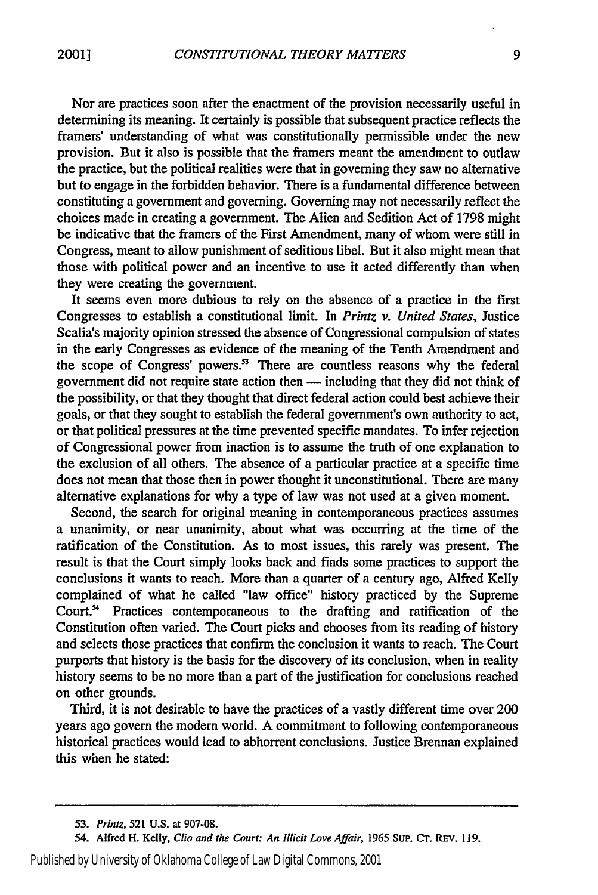Nor are practices soon after the enactment of the provision necessarily useful in determining its meaning. It certainly is possible that subsequent practice reflects the framers' understanding of what was constitutionally permissible under the new provision. But it also is possible that the framers meant the amendment to outlaw the practice, but the political realities were that in governing they saw no alternative but to engage in the forbidden behavior. There is a fundamental difference between constituting a government and governing. Governing may not necessarily reflect the choices made in creating a government. The Alien and Sedition Act of 1798 might be indicative that the framers of the First Amendment, many of whom were still in Congress, meant to allow punishment of seditious libel. But it also might mean that those with political power and an incentive to use it acted differently than when they were creating the government.

It seems even more dubious to rely on the absence of a practice in the first Congresses to establish a constitutional limit. In *Printz v. United States,* Justice Scalia's majority opinion stressed the absence of Congressional compulsion of states in the early Congresses as evidence of the meaning of the Tenth Amendment and the scope of Congress' powers.<sup>33</sup> There are countless reasons why the federal government did not require state action then - including that they did not think of the possibility, or that they thought that direct federal action could best achieve their goals, or that they sought to establish the federal government's own authority to act, or that political pressures at the time prevented specific mandates. To infer rejection of Congressional power from inaction is to assume the truth of one explanation to the exclusion of all others. The absence of a particular practice at a specific time does not mean that those then in power thought it unconstitutional. There are many alternative explanations for why a type of law was not used at a given moment.

Second, the search for original meaning in contemporaneous practices assumes a unanimity, or near unanimity, about what was occurring at the time of the ratification of the Constitution. As to most issues, this rarely was present. The result is that the Court simply looks back and finds some practices to support the conclusions it wants to reach. More than a quarter of a century ago, Alfred Kelly complained of what he called "law office" history practiced by the Supreme Court.' Practices contemporaneous to the drafting and ratification of the Constitution often varied. The Court picks and chooses from its reading of history and selects those practices that confirm the conclusion it wants to reach. The Court purports that history is the basis for the discovery of its conclusion, when in reality history seems to be no more than a part of the justification for conclusions reached on other grounds.

Third, it is not desirable to have the practices of a vastly different time over 200 years ago govern the modern world. A commitment to following contemporaneous historical practices would lead to abhorrent conclusions. Justice Brennan explained this when he stated:

Published by University of Oklahoma College of Law Digital Commons, 2001

*<sup>53.</sup> Printz,* 521 U.S. at **907-08.**

<sup>54.</sup> Alfred H. Kelly, Clio and the Court: *An Illicit Love Affair,* 1965 Sup. **Cr.** REv. 119.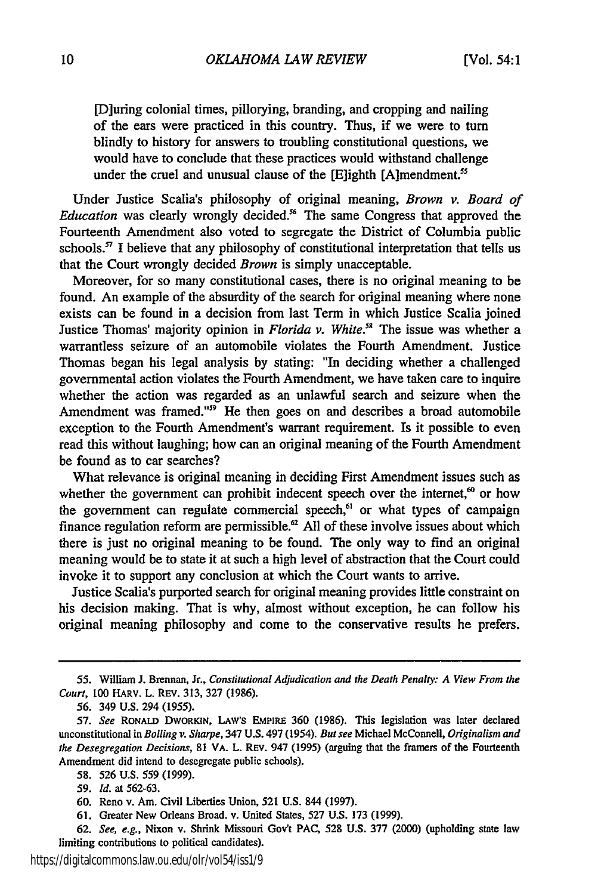[D]uring colonial times, pillorying, branding, and cropping and nailing of the ears were practiced in this country. Thus, if we were to turn blindly to history for answers to troubling constitutional questions, we would have to conclude that these practices would withstand challenge under the cruel and unusual clause of the [E]ighth [A]mendment.<sup>55</sup>

Under Justice Scalia's philosophy of original meaning, *Brown v. Board of Education* was clearly wrongly decided.<sup>86</sup> The same Congress that approved the Fourteenth Amendment also voted to segregate the District of Columbia public schools.<sup>57</sup> I believe that any philosophy of constitutional interpretation that tells us that the Court wrongly decided *Brown* is simply unacceptable.

Moreover, for so many constitutional cases, there is no original meaning to be found. An example of the absurdity of the search for original meaning where none exists can be found in a decision from last Term in which Justice Scalia joined Justice Thomas' majority opinion in *Florida v. White."* The issue was whether a warrantless seizure of an automobile violates the Fourth Amendment. Justice Thomas began his legal analysis by stating: "In deciding whether a challenged governmental action violates the Fourth Amendment, we have taken care to inquire whether the action was regarded as an unlawful search and seizure when the Amendment was framed."<sup>99</sup> He then goes on and describes a broad automobile exception to the Fourth Amendment's warrant requirement. Is it possible to even read this without laughing; how can an original meaning of the Fourth Amendment be found as to car searches?

What relevance is original meaning in deciding First Amendment issues such as whether the government can prohibit indecent speech over the internet,<sup> $\omega$ </sup> or how the government can regulate commercial speech,<sup>61</sup> or what types of campaign finance regulation reform are permissible.<sup>62</sup> All of these involve issues about which there is just no original meaning to be found. The only way to find an original meaning would be to state it at such a high level of abstraction that the Court could invoke it to support any conclusion at which the Court wants to arrive.

Justice Scalia's purported search for original meaning provides little constraint on his decision making. That is why, almost without exception, he can follow his original meaning philosophy and come to the conservative results he prefers.

<sup>55.</sup> William J. Brennan, Jr., *Constitutional Adjudication and the Death Penalty; A View From the Court,* 100 HARV. L. REv. 313, 327 (1986).

<sup>56. 349</sup> U.S. 294 (1955).

<sup>57.</sup> *See* RONALD DWORKIN, LAW's EMPIRE 360 (1986). This legislation was later declared unconstitutional in *Bolling v. Sharpe,* 347 U.S. 497 (1954). *But see* Michael McConnell, *Originalism and the Desegregation Decisions,* 81 VA. L. REv. 947 (1995) (arguing that the framers of the Fourteenth Amendment did intend to desegregate public schools).

<sup>58. 526</sup> U.S. 559 (1999).

**<sup>59.</sup>** *Id.* at 562-63.

<sup>60.</sup> Reno v. Am. Civil Liberties Union, 521 U.S. 844 (1997).

<sup>61.</sup> Greater New Orleans Broad. v. United States, 527 U.S. 173 (1999).

<sup>62.</sup> *See, e.g.,* Nixon v. Shrink Missouri Gov't PAC, 528 U.S. 377 (2000) (upholding state law limiting contributions to political candidates).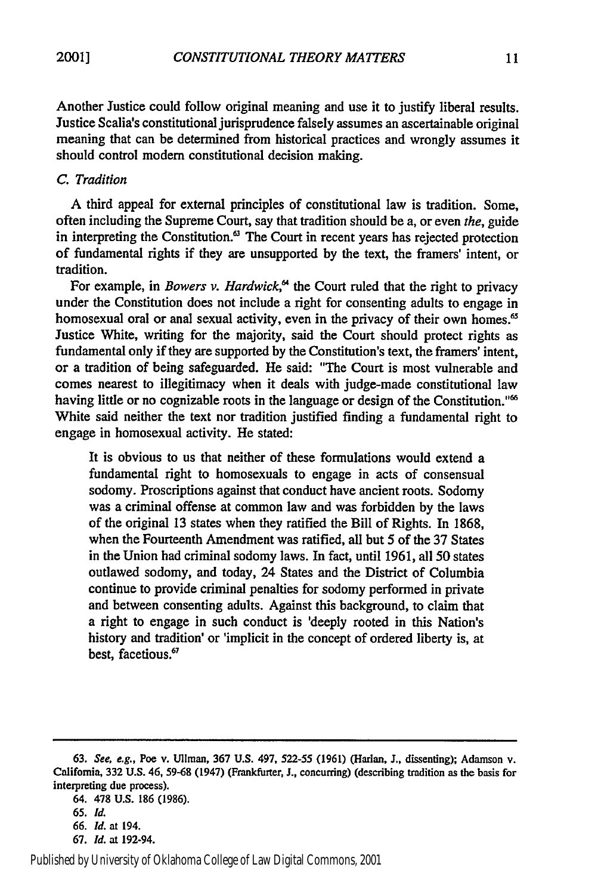Another Justice could follow original meaning and use it to justify liberal results. Justice Scalia's constitutional jurisprudence falsely assumes an ascertainable original meaning that can be determined from historical practices and wrongly assumes it should control modem constitutional decision making.

#### *C. Tradition*

A third appeal for external principles of constitutional law is tradition. Some, often including the Supreme Court, say that tradition should be a, or even *the,* guide in interpreting the Constitution.<sup>63</sup> The Court in recent years has rejected protection of fundamental rights if they are unsupported by the text, the framers' intent, or tradition.

For example, in *Bowers v. Hardwick*,<sup> $\alpha$ </sup> the Court ruled that the right to privacy under the Constitution does not include a right for consenting adults to engage in homosexual oral or anal sexual activity, even in the privacy of their own homes.<sup>65</sup> Justice White, writing for the majority, said the Court should protect rights as fundamental only if they are supported by the Constitution's text, the framers' intent, or a tradition of being safeguarded. He said: "The Court is most vulnerable and comes nearest to illegitimacy when it deals with judge-made constitutional law having little or no cognizable roots in the language or design of the Constitution."<sup>66</sup> White said neither the text nor tradition justified finding a fundamental right to engage in homosexual activity. He stated:

It is obvious to us that neither of these formulations would extend a fundamental right to homosexuals to engage in acts of consensual sodomy. Proscriptions against that conduct have ancient roots. Sodomy was a criminal offense at common law and was forbidden by the laws of the original 13 states when they ratified the Bill of Rights. In 1868, when the Fourteenth Amendment was ratified, all but 5 of the 37 States in the Union had criminal sodomy laws. In fact, until 1961, all 50 states outlawed sodomy, and today, 24 States and the District of Columbia continue to provide criminal penalties for sodomy performed in private and between consenting adults. Against this background, to claim that a right to engage in such conduct is 'deeply rooted in this Nation's history and tradition' or 'implicit in the concept of ordered liberty is, at best, facetious.<sup>67</sup>

<sup>63.</sup> *See, e.g.,* Poe v. Ullman, 367 U.S. 497, **522-55** (1961) (Harlan, J., dissenting); Adamson v. California, **332 U.S.** 46, **59-68** (1947) (Frankfurter, **J.,** concurring) (describing tradition as the basis for interpreting due process).

<sup>64. 478</sup> U.S. **186** (1986). **65.** *Id.*

**<sup>66.</sup>** *Id.* at 194.

<sup>67.</sup> *Id.* at 192-94.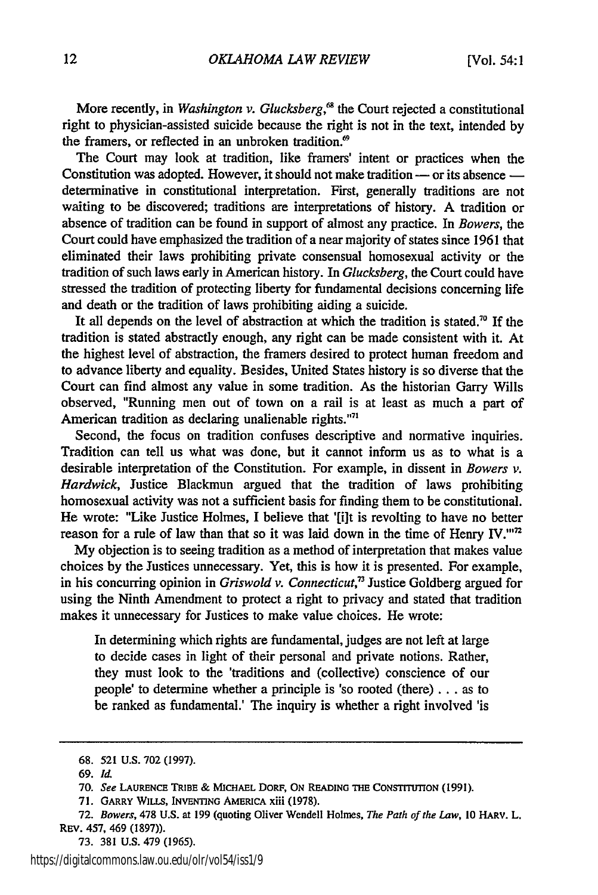More recently, in *Washington v. Glucksberg*,<sup>68</sup> the Court rejected a constitutional right to physician-assisted suicide because the right is not in the text, intended by the framers, or reflected in an unbroken tradition. $\mathcal{P}$ 

The Court may look at tradition, like framers' intent or practices when the Constitution was adopted. However, it should not make tradition - or its absence determinative in constitutional interpretation. First, generally traditions are not waiting to be discovered; traditions are interpretations of history. A tradition or absence of tradition can be found in support of almost any practice. In *Bowers, the* Court could have emphasized the tradition of a near majority of states since 1961 that eliminated their laws prohibiting private consensual homosexual activity or the tradition of such laws early in American history. In *Glucksberg,* the Court could have stressed the tradition of protecting liberty for fundamental decisions concerning life and death or the tradition of laws prohibiting aiding a suicide.

It all depends on the level of abstraction at which the tradition is stated." If the tradition is stated abstractly enough, any right can be made consistent with it. At the highest level of abstraction, the framers desired to protect human freedom and to advance liberty and equality. Besides, United States history is so diverse that the Court can find almost any value in some tradition. As the historian Garry Wills observed, "Running men out of town on a rail is at least as much a part of American tradition as declaring unalienable rights."<sup>71</sup>

Second, the focus on tradition confuses descriptive and normative inquiries. Tradition can tell us what was done, but it cannot inform us as to what is a desirable interpretation of the Constitution. For example, in dissent in *Bowers v. Hardwick,* Justice Blackmun argued that the tradition of laws prohibiting homosexual activity was not a sufficient basis for finding them to be constitutional. He wrote: "Like Justice Holmes, I believe that '[i]t is revolting to have no better reason for a rule of law than that so it was laid down in the time of Henry IV.""

My objection is to seeing tradition as a method of interpretation that makes value choices by the Justices unnecessary. Yet, this is how it is presented. For example, in his concurring opinion in *Griswold v. Connecticut*,<sup>73</sup> Justice Goldberg argued for using the Ninth Amendment to protect a right to privacy and stated that tradition makes it unnecessary for Justices to make value choices. He wrote:

In determining which rights are fundamental, judges are not left at large to decide cases in light of their personal and private notions. Rather, they must look to the 'traditions and (collective) conscience of our people' to determine whether a principle is 'so rooted (there) ... as to be ranked as fundamental.' The inquiry is whether a right involved 'is

73. 381 U.S. 479 (1965).

<sup>68. 521</sup> U.S. 702 (1997).

<sup>69.</sup> *Id.*

**<sup>70.</sup>** *See* **LAURENCE TRIBE** & **MICHAEL** DORF, ON **READING THE CONSTITUTION (1991).**

**<sup>71.</sup>** GARRY WILLS, INVENTING AMERICA xiii **(1978).**

<sup>72.</sup> *Bowers,* **478** U.S. at 199 (quoting Oliver Wendell Holmes, *The Path of the Law,* 10 HARV. L. REv. 457, 469 (1897)).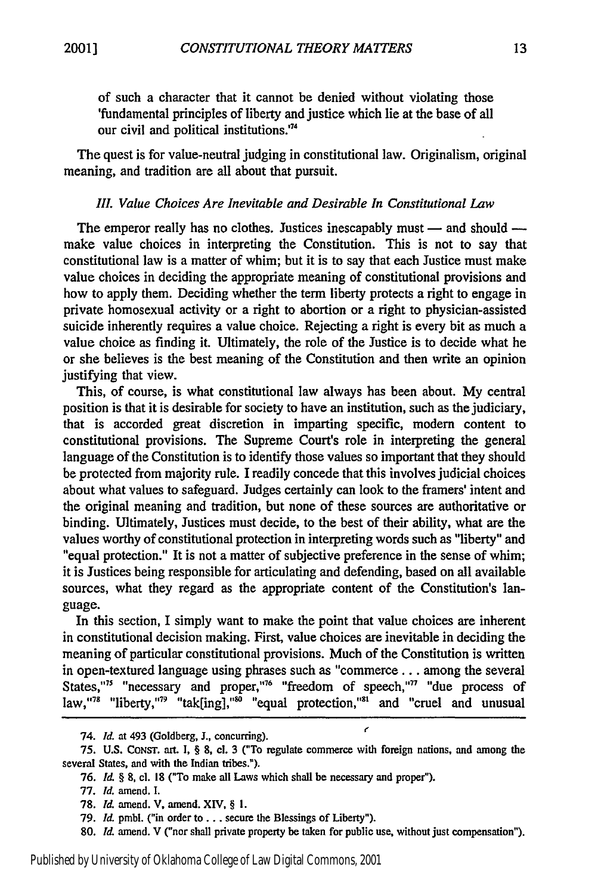of such a character that it cannot be denied without violating those 'fundamental principles of liberty and justice which lie at the base of all our civil and political institutions.'74

The quest is for value-neutral judging in constitutional law. Originalism, original meaning, and tradition are all about that pursuit.

#### *II1. Value Choices Are Inevitable and Desirable In Constitutional Law*

The emperor really has no clothes. Justices inescapably must  $-$  and should  $$ make value choices in interpreting the Constitution. This is not to say that constitutional law is a matter of whim; but it is to say that each Justice must make value choices in deciding the appropriate meaning of constitutional provisions and how to apply them. Deciding whether the term liberty protects a right to engage in private homosexual activity or a right to abortion or a right to physician-assisted suicide inherently requires a value choice. Rejecting a right is every bit as much a value choice as finding it. Ultimately, the role of the Justice is to decide what he or she believes is the best meaning of the Constitution and then write an opinion justifying that view.

This, of course, is what constitutional law always has been about. My central position is that it is desirable for society to have an institution, such as the judiciary, that is accorded great discretion in imparting specific, modem content to constitutional provisions. The Supreme Court's role in interpreting the general language of the Constitution is to identify those values so important that they should be protected from majority rule. I readily concede that this involves judicial choices about what values to safeguard. Judges certainly can look to the framers' intent and the original meaning and tradition, but none of these sources are authoritative or binding. Ultimately, Justices must decide, to the best of their ability, what are the values worthy of constitutional protection in interpreting words such as "liberty" and "equal protection." It is not a matter of subjective preference in the sense of whim; it is Justices being responsible for articulating and defending, based on all available sources, what they regard as the appropriate content of the Constitution's language.

In this section, I simply want to make the point that value choices are inherent in constitutional decision making. First, value choices are inevitable in deciding the meaning of particular constitutional provisions. Much of the Constitution is written in open-textured language using phrases such as "commerce... among the several States,"<sup>75</sup> "necessary and proper,"<sup>76</sup> "freedom of speech,"<sup>77</sup> "due process of law,"<sup>78</sup> "liberty,"<sup>79</sup> "tak[ing],"<sup>80</sup> "equal protection,"<sup>81</sup> and "cruel and unusual

<sup>74.</sup> *Id.* at 493 (Goldberg, J., concurring). **1"**

**<sup>75.</sup> U.S. CONST.** art. I, § **8,** cl. **3** ("To regulate commerce with foreign nations, and among the several States, and with the Indian tribes.").

**<sup>76.</sup>** *Id. §* 8, cl. 18 ("To make all Laws which shall be necessary and proper").

**<sup>77.</sup>** *Id.* amend. I.

<sup>78.</sup> *Id.* amend. V, amend. XIV, § I.

**<sup>79.</sup>** *Id.* pmbl. ("in order to... secure the Blessings of Liberty").

<sup>80.</sup> *Id.* amend. V ("nor shall private property be taken for public use, without just compensation").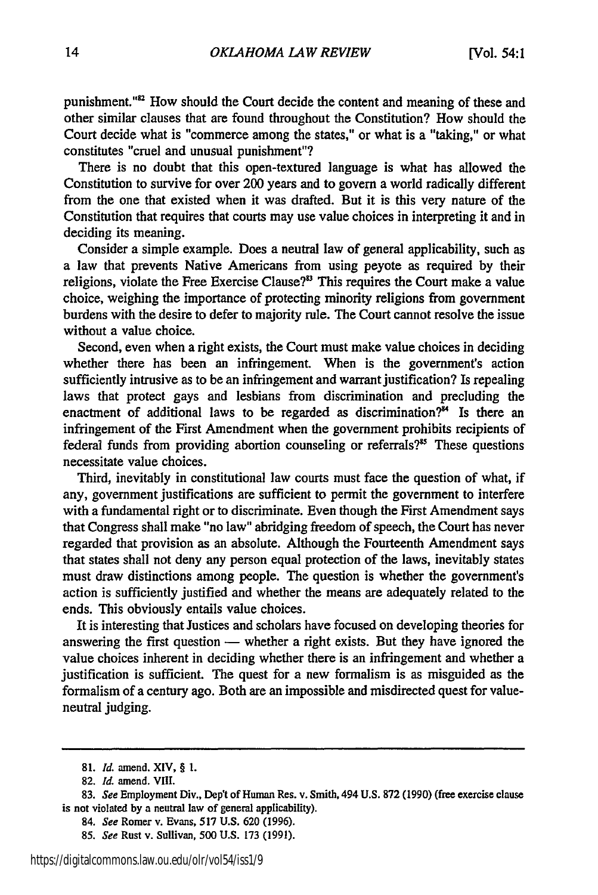punishment."<sup>82</sup> How should the Court decide the content and meaning of these and other similar clauses that are found throughout the Constitution? How should the Court decide what is "commerce among the states," or what is a "taking," or what constitutes "cruel and unusual punishment"?

There is no doubt that this open-textured language is what has allowed the Constitution to survive for over 200 years and to govern a world radically different from the one that existed when it was drafted. But it is this very nature of the Constitution that requires that courts may use value choices in interpreting it and in deciding its meaning.

Consider a simple example. Does a neutral law of general applicability, such as a law that prevents Native Americans from using peyote as required by their religions, violate the Free Exercise Clause?" This requires the Court make a value choice, weighing the importance of protecting minority religions from government burdens with the desire to defer to majority rule. The Court cannot resolve the issue without a value choice.

Second, even when a right exists, the Court must make value choices in deciding whether there has been an infringement. When is the government's action sufficiently intrusive as to be an infringement and warrant justification? Is repealing laws that protect gays and lesbians from discrimination and precluding the enactment of additional laws to be regarded as discrimination?<sup>34</sup> Is there an infringement of the First Amendment when the government prohibits recipients of federal funds from providing abortion counseling or referrals?<sup>85</sup> These questions necessitate value choices.

Third, inevitably in constitutional law courts must face the question of what, if any, government justifications are sufficient to permit the government to interfere with a fundamental right or to discriminate. Even though the First Amendment says that Congress shall make "no law" abridging freedom of speech, the Court has never regarded that provision as an absolute. Although the Fourteenth Amendment says that states shall not deny any person equal protection of the laws, inevitably states must draw distinctions among people. The question is whether the government's action is sufficiently justified and whether the means are adequately related to the ends. This obviously entails value choices.

It is interesting that Justices and scholars have focused on developing theories for answering the first question  $-$  whether a right exists. But they have ignored the value choices inherent in deciding whether there is an infringement and whether a justification is sufficient. The quest for a new formalism is as misguided as the formalism of a century ago. Both are an impossible and misdirected quest for valueneutral judging.

**<sup>81.</sup>** *Id.* amend. XIV, § 1.

**<sup>82.</sup>** *Id.* amend. **VIII.**

<sup>83.</sup> *See* Employment Div., Dep't of Human Res. v. Smith, 494 U.S. **872** (1990) (free exercise clause is not violated **by** a neutral law of general applicability).

<sup>84.</sup> *See* Romer v. Evans, **517 U.S. 620 (1996).**

**<sup>85.</sup>** *See* Rust v. Sullivan, **500 U.S. 173 (1991).**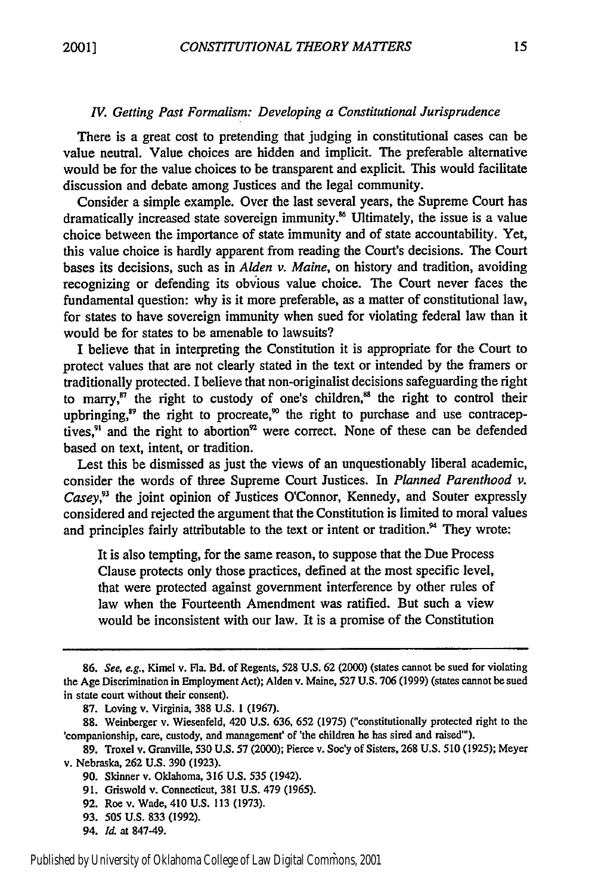#### IV. *Getting Past Formalism: Developing a Constitutional Jurisprudence*

There is a great cost to pretending that judging in constitutional cases can be value neutral. Value choices are hidden and implicit. The preferable alternative would be for the value choices to be transparent and explicit. This would facilitate discussion and debate among Justices and the legal community.

Consider a simple example. Over the last several years, the Supreme Court has dramatically increased state sovereign immunity.<sup>86</sup> Ultimately, the issue is a value choice between the importance of state immunity and of state accountability. Yet, this value choice is hardly apparent from reading the Court's decisions. The Court bases its decisions, such as in *Alden v. Maine,* on history and tradition, avoiding recognizing or defending its obvious value choice. The Court never faces the fundamental question: why is it more preferable, as a matter of constitutional law, for states to have sovereign immunity when sued for violating federal law than it would be for states to be amenable to lawsuits?

I believe that in interpreting the Constitution it is appropriate for the Court to protect values that are not clearly stated in the text or intended by the framers or traditionally protected. I believe that non-originalist decisions safeguarding the right to marry,<sup>87</sup> the right to custody of one's children,<sup>88</sup> the right to control their upbringing,<sup>89</sup> the right to procreate,<sup>90</sup> the right to purchase and use contraceptives, $91$  and the right to abortion<sup>92</sup> were correct. None of these can be defended based on text, intent, or tradition.

Lest this be dismissed as just the views of an unquestionably liberal academic, consider the words of three Supreme Court Justices. In *Planned Parenthood v. Casey,93* the joint opinion of Justices O'Connor, Kennedy, and Souter expressly considered and rejected the argument that the Constitution is limited to moral values and principles fairly attributable to the text or intent or tradition. $<sup>94</sup>$  They wrote:</sup>

It is also tempting, for the same reason, to suppose that the Due Process Clause protects only those practices, defined at the most specific level, that were protected against government interference by other rules of law when the Fourteenth Amendment was ratified. But such a view would be inconsistent with our law. It is a promise of the Constitution

**<sup>86.</sup>** *See, e.g.,* Kimel v. Fla. **Bd.** of Regents, **528 U.S. 62** (2000) (states cannot be sued for violating the Age Discrimination in Employment Act); Alden v. Maine, 527 **U.S.** 706 (1999) (states cannot be sued in state court without their consent).

**<sup>87.</sup>** Loving v. Virginia, **388 U.S.** 1 (1967).

<sup>88.</sup> Weinberger v. Wiesenfeld, 420 **U.S.** 636, 652 (1975) ("constitutionally protected right to the 'companionship, care, custody, and management' of 'the children he has sired and raised").

<sup>89.</sup> Troxel v. Granville, 530 **U.S.** 57 (2000); Pierce v. Soe'y of Sisters, **268** U.S. 510 (1925); Meyer v. Nebraska, 262 **U.S.** 390 (1923).

<sup>90.</sup> Skinner v. Oklahoma, 316 **U.S.** 535 (1942).

<sup>91.</sup> Griswold v. Connecticut, **381 U.S.** 479 (1965).

<sup>92.</sup> Roe v. Wade, 410 U.S. 113 (1973).

<sup>93. 505</sup> **U.S.** 833 (1992).

<sup>94.</sup> *Id.* at 847-49.